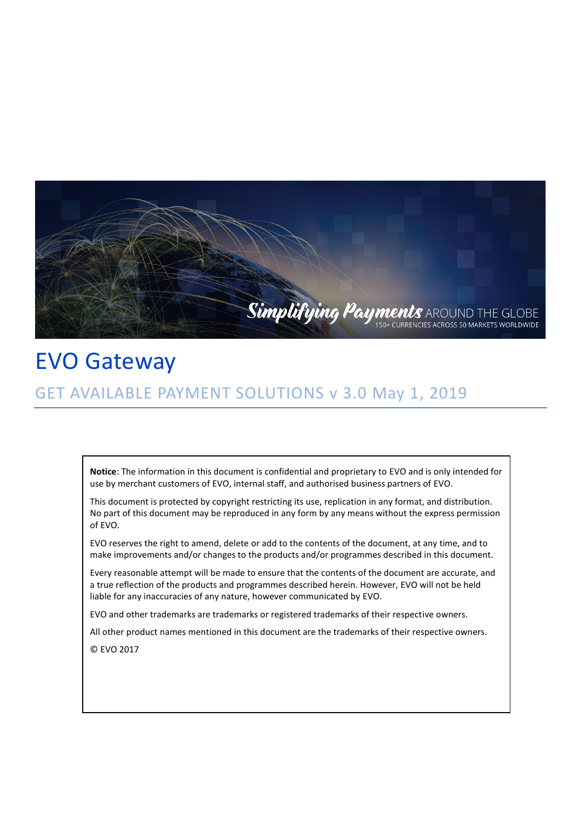

# EVO Gateway GET AVAILABLE PAYMENT SOLUTIONS v 3.0 May 1, 2019

**Notice**: The information in this document is confidential and proprietary to EVO and is only intended for use by merchant customers of EVO, internal staff, and authorised business partners of EVO.

This document is protected by copyright restricting its use, replication in any format, and distribution. No part of this document may be reproduced in any form by any means without the express permission of EVO.

EVO reserves the right to amend, delete or add to the contents of the document, at any time, and to make improvements and/or changes to the products and/or programmes described in this document.

Every reasonable attempt will be made to ensure that the contents of the document are accurate, and a true reflection of the products and programmes described herein. However, EVO will not be held liable for any inaccuracies of any nature, however communicated by EVO.

EVO and other trademarks are trademarks or registered trademarks of their respective owners.

All other product names mentioned in this document are the trademarks of their respective owners.

© EVO 2017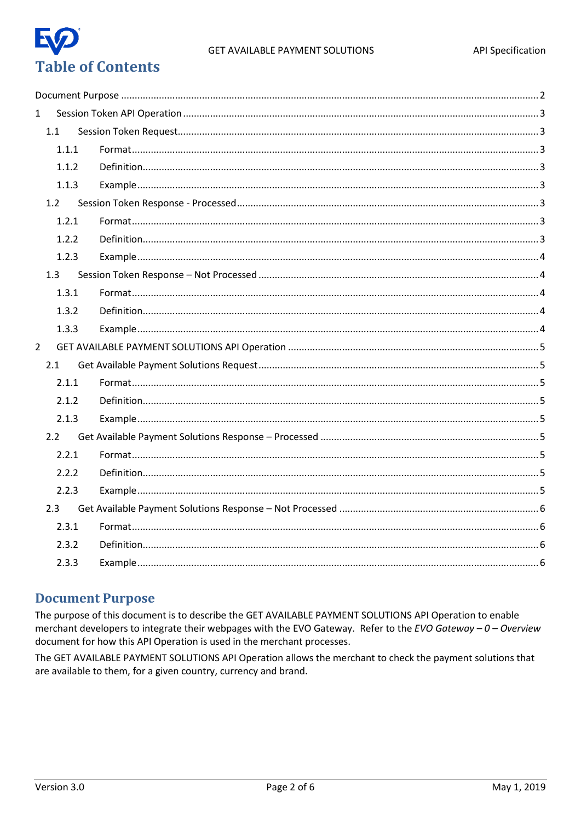

| $\mathbf{1}$   |       |  |
|----------------|-------|--|
|                | 1.1   |  |
|                | 1.1.1 |  |
|                | 1.1.2 |  |
|                | 1.1.3 |  |
|                | 1.2   |  |
|                | 1.2.1 |  |
|                | 1.2.2 |  |
|                | 1.2.3 |  |
|                | 1.3   |  |
|                | 1.3.1 |  |
|                | 1.3.2 |  |
|                | 1.3.3 |  |
| $\overline{2}$ |       |  |
|                | 2.1   |  |
|                | 2.1.1 |  |
|                | 2.1.2 |  |
|                | 2.1.3 |  |
|                | 2.2   |  |
|                | 2.2.1 |  |
|                | 2.2.2 |  |
|                | 2.2.3 |  |
|                | 2.3   |  |
|                | 2.3.1 |  |
|                | 2.3.2 |  |
|                | 2.3.3 |  |

### <span id="page-1-0"></span>**Document Purpose**

The purpose of this document is to describe the GET AVAILABLE PAYMENT SOLUTIONS API Operation to enable merchant developers to integrate their webpages with the EVO Gateway. Refer to the EVO Gateway - 0 - Overview document for how this API Operation is used in the merchant processes.

The GET AVAILABLE PAYMENT SOLUTIONS API Operation allows the merchant to check the payment solutions that are available to them, for a given country, currency and brand.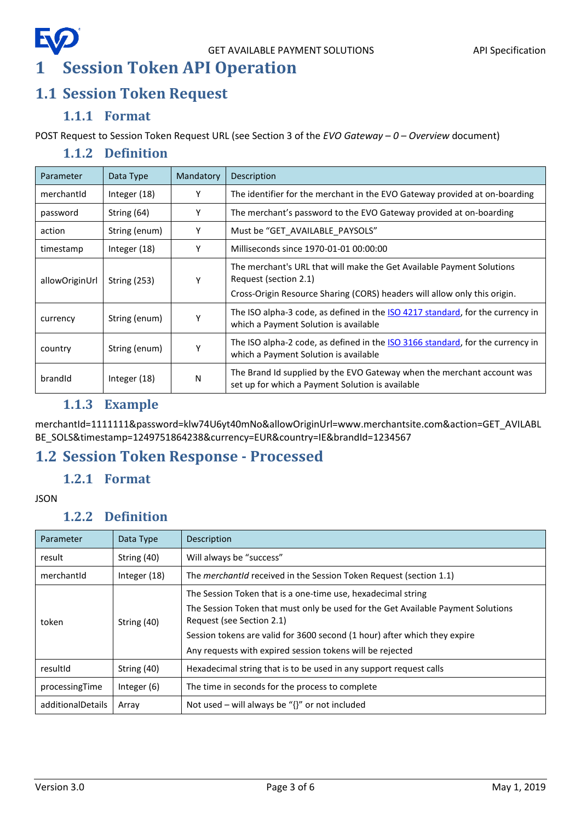### EQ GET AVAILABLE PAYMENT SOLUTIONS API Specification **1 Session Token API Operation**

# <span id="page-2-1"></span><span id="page-2-0"></span>**1.1 Session Token Request**

### **1.1.1 Format**

<span id="page-2-3"></span><span id="page-2-2"></span>POST Request to Session Token Request URL (see Section 3 of the *EVO Gateway – 0 – Overview* document)

### **1.1.2 Definition**

| Parameter      | Data Type           | Mandatory | Description                                                                                                                                                                 |
|----------------|---------------------|-----------|-----------------------------------------------------------------------------------------------------------------------------------------------------------------------------|
| merchantid     | Integer $(18)$      | Y         | The identifier for the merchant in the EVO Gateway provided at on-boarding                                                                                                  |
| password       | String (64)         | Υ         | The merchant's password to the EVO Gateway provided at on-boarding                                                                                                          |
| action         | String (enum)       | Υ         | Must be "GET_AVAILABLE_PAYSOLS"                                                                                                                                             |
| timestamp      | Integer (18)        | Υ         | Milliseconds since 1970-01-01 00:00:00                                                                                                                                      |
| allowOriginUrl | <b>String (253)</b> | Υ         | The merchant's URL that will make the Get Available Payment Solutions<br>Request (section 2.1)<br>Cross-Origin Resource Sharing (CORS) headers will allow only this origin. |
| currency       | String (enum)       |           | The ISO alpha-3 code, as defined in the ISO 4217 standard, for the currency in<br>which a Payment Solution is available                                                     |
| country        | String (enum)       | Υ         | The ISO alpha-2 code, as defined in the ISO 3166 standard, for the currency in<br>which a Payment Solution is available                                                     |
| brandid        | Integer (18)        | N         | The Brand Id supplied by the EVO Gateway when the merchant account was<br>set up for which a Payment Solution is available                                                  |

### **1.1.3 Example**

<span id="page-2-4"></span>merchantId=1111111&password=klw74U6yt40mNo&allowOriginUrl=www.merchantsite.com&action=GET\_AVILABL BE\_SOLS&timestamp=1249751864238&currency=EUR&country=IE&brandId=1234567

# <span id="page-2-6"></span><span id="page-2-5"></span>**1.2 Session Token Response - Processed**

### **1.2.1 Format**

#### <span id="page-2-7"></span>**JSON**

### **1.2.2 Definition**

| Parameter         | Data Type      | Description                                                                                                                                                                                                                                                                                                             |
|-------------------|----------------|-------------------------------------------------------------------------------------------------------------------------------------------------------------------------------------------------------------------------------------------------------------------------------------------------------------------------|
| result            | String (40)    | Will always be "success"                                                                                                                                                                                                                                                                                                |
| merchantid        | Integer $(18)$ | The <i>merchantid</i> received in the Session Token Request (section 1.1)                                                                                                                                                                                                                                               |
| token             | String (40)    | The Session Token that is a one-time use, hexadecimal string<br>The Session Token that must only be used for the Get Available Payment Solutions<br>Request (see Section 2.1)<br>Session tokens are valid for 3600 second (1 hour) after which they expire<br>Any requests with expired session tokens will be rejected |
| resultId          | String (40)    | Hexadecimal string that is to be used in any support request calls                                                                                                                                                                                                                                                      |
| processingTime    | Integer $(6)$  | The time in seconds for the process to complete                                                                                                                                                                                                                                                                         |
| additionalDetails | Array          | Not used – will always be " $\{$ ' or not included                                                                                                                                                                                                                                                                      |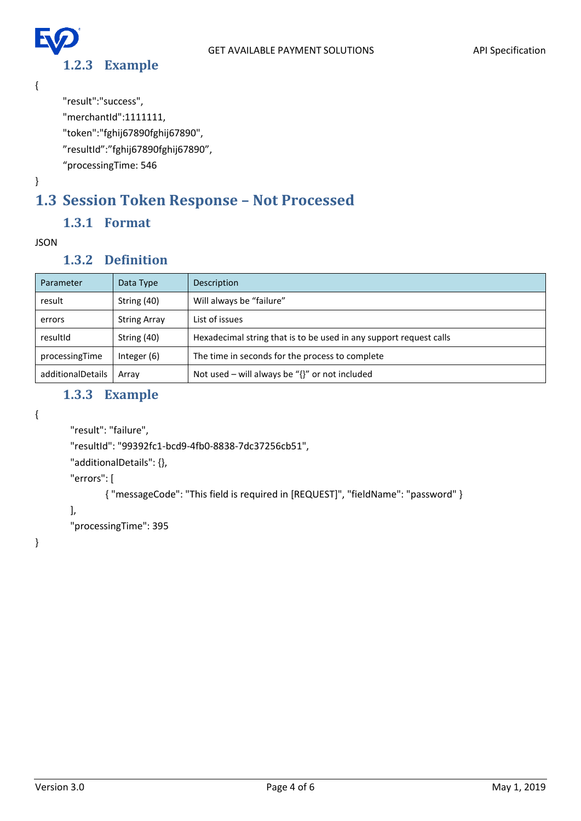### **1.2.3 Example**

<span id="page-3-0"></span>{

E

}

"result":"success",

"merchantId":1111111,

"token":"fghij67890fghij67890",

"resultId":"fghij67890fghij67890",

"processingTime: 546

# <span id="page-3-1"></span>**1.3 Session Token Response – Not Processed**

### **1.3.1 Format**

#### <span id="page-3-3"></span><span id="page-3-2"></span>JSON

### **1.3.2 Definition**

| Parameter         | Data Type           | Description                                                        |
|-------------------|---------------------|--------------------------------------------------------------------|
| result            | String (40)         | Will always be "failure"                                           |
| errors            | <b>String Array</b> | List of issues                                                     |
| resultId          | String (40)         | Hexadecimal string that is to be used in any support request calls |
| processingTime    | Integer (6)         | The time in seconds for the process to complete                    |
| additionalDetails | Arrav               | Not used – will always be " $\{$ " or not included                 |

### **1.3.3 Example**

```
{
```

```
"result": "failure",
```
"resultId": "99392fc1-bcd9-4fb0-8838-7dc37256cb51",

"additionalDetails": {},

"errors": [

{ "messageCode": "This field is required in [REQUEST]", "fieldName": "password" }

```
],
```
"processingTime": 395

}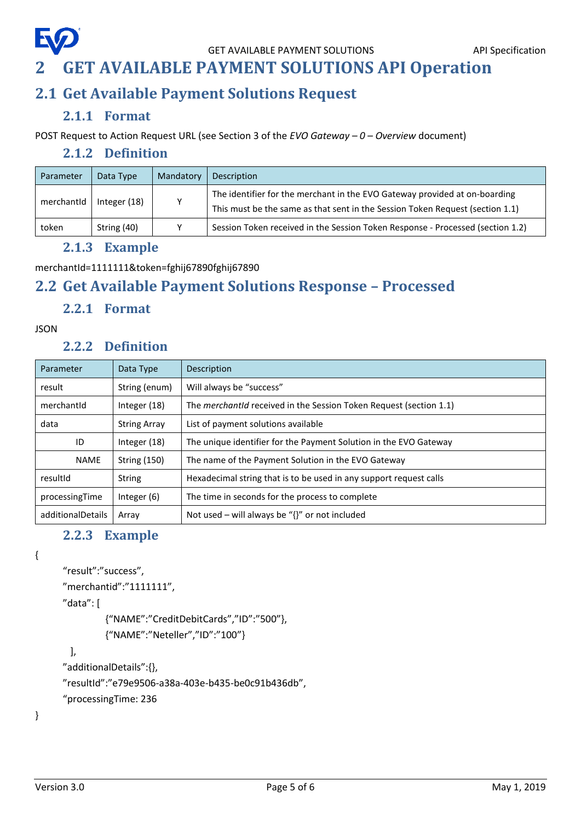

# <span id="page-4-0"></span>**2 GET AVAILABLE PAYMENT SOLUTIONS API Operation**

### <span id="page-4-1"></span>**2.1 Get Available Payment Solutions Request**

### **2.1.1 Format**

<span id="page-4-3"></span><span id="page-4-2"></span>POST Request to Action Request URL (see Section 3 of the *EVO Gateway – 0 – Overview* document)

#### **2.1.2 Definition**

| Parameter  | Data Type    | Mandatory | Description                                                                                                                                                 |
|------------|--------------|-----------|-------------------------------------------------------------------------------------------------------------------------------------------------------------|
| merchantId | Integer (18) | v         | The identifier for the merchant in the EVO Gateway provided at on-boarding<br>This must be the same as that sent in the Session Token Request (section 1.1) |
| token      | String (40)  |           | Session Token received in the Session Token Response - Processed (section 1.2)                                                                              |

#### **2.1.3 Example**

```
merchantId=1111111&token=fghij67890fghij67890
```
# <span id="page-4-5"></span>**2.2 Get Available Payment Solutions Response – Processed**

#### **2.2.1 Format**

#### <span id="page-4-7"></span><span id="page-4-6"></span>JSON

#### **2.2.2 Definition**

| Parameter         | Data Type           | Description                                                               |  |
|-------------------|---------------------|---------------------------------------------------------------------------|--|
| result            | String (enum)       | Will always be "success"                                                  |  |
| merchantid        | Integer (18)        | The <i>merchantid</i> received in the Session Token Request (section 1.1) |  |
| data              | <b>String Array</b> | List of payment solutions available                                       |  |
| ID                | Integer (18)        | The unique identifier for the Payment Solution in the EVO Gateway         |  |
| <b>NAME</b>       | <b>String (150)</b> | The name of the Payment Solution in the EVO Gateway                       |  |
| resultId          | <b>String</b>       | Hexadecimal string that is to be used in any support request calls        |  |
| processingTime    | Integer $(6)$       | The time in seconds for the process to complete                           |  |
| additionalDetails | Array               | Not used – will always be " $\{$ ' or not included                        |  |

### **2.2.3 Example**

<span id="page-4-8"></span>{

```
"result":"success",
```

```
"merchantid":"1111111",
```
"data": [

```
{"NAME":"CreditDebitCards","ID":"500"},
```

```
{"NAME":"Neteller","ID":"100"}
```

```
],
```

```
"additionalDetails":{},
```

```
"resultId":"e79e9506-a38a-403e-b435-be0c91b436db",
```

```
"processingTime: 236
```
}